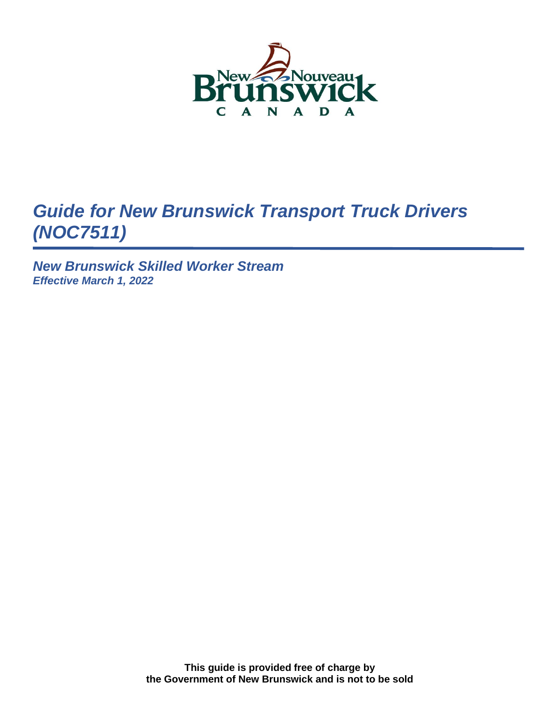

# *Guide for New Brunswick Transport Truck Drivers (NOC7511)*

*New Brunswick Skilled Worker Stream Effective March 1, 2022*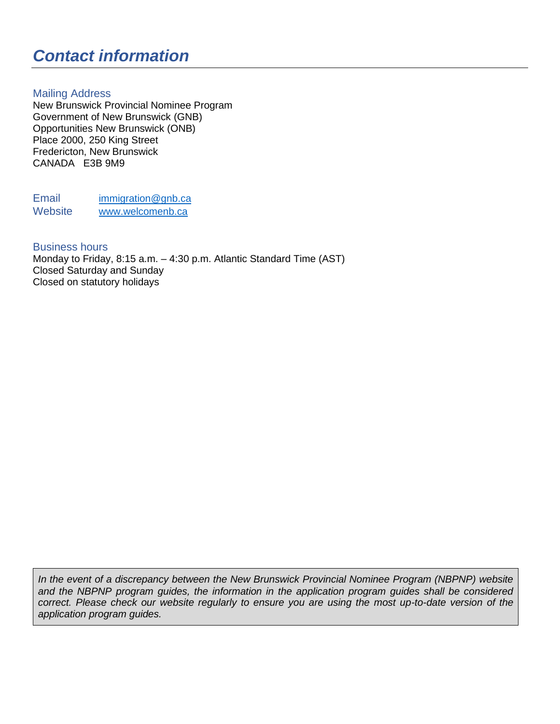# *Contact information*

### Mailing Address

New Brunswick Provincial Nominee Program Government of New Brunswick (GNB) Opportunities New Brunswick (ONB) Place 2000, 250 King Street Fredericton, New Brunswick CANADA E3B 9M9

Email [immigration@gnb.ca](mailto:immigration@gnb.ca) Website [www.welcomenb.ca](http://www.welcomenb.ca/)

#### Business hours

Monday to Friday, 8:15 a.m. – 4:30 p.m. Atlantic Standard Time (AST) Closed Saturday and Sunday Closed on statutory holidays

*In the event of a discrepancy between the New Brunswick Provincial Nominee Program (NBPNP) website and the NBPNP program guides, the information in the application program guides shall be considered correct. Please check our website regularly to ensure you are using the most up-to-date version of the application program guides.*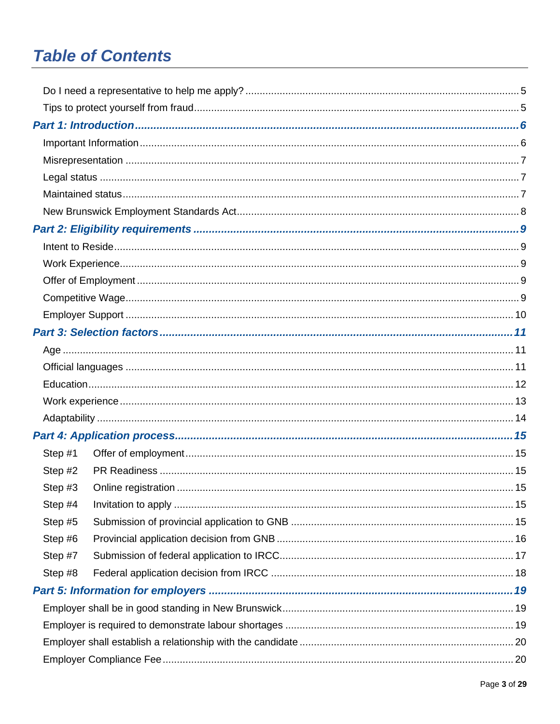# **Table of Contents**

| Step #1 |  |  |  |
|---------|--|--|--|
| Step #2 |  |  |  |
| Step #3 |  |  |  |
| Step #4 |  |  |  |
| Step #5 |  |  |  |
| Step #6 |  |  |  |
| Step #7 |  |  |  |
| Step #8 |  |  |  |
|         |  |  |  |
|         |  |  |  |
|         |  |  |  |
|         |  |  |  |
|         |  |  |  |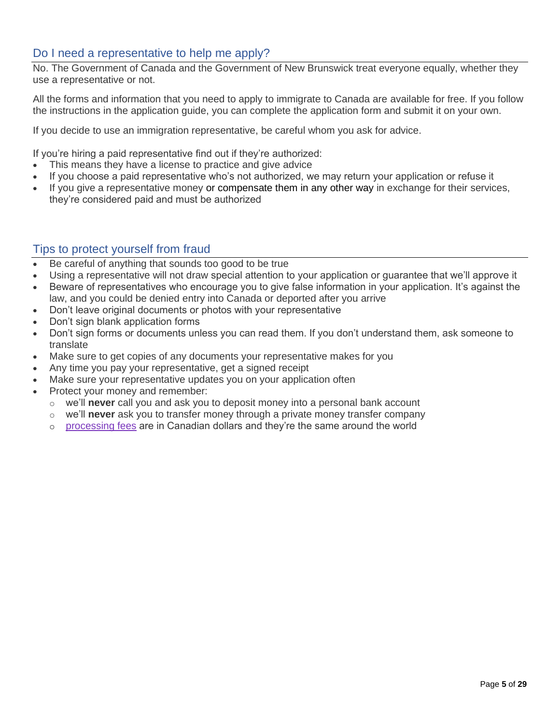## <span id="page-4-0"></span>Do I need a representative to help me apply?

No. The Government of Canada and the Government of New Brunswick treat everyone equally, whether they use a representative or not.

All the forms and information that you need to apply to immigrate to Canada are available for free. If you follow the instructions in the application guide, you can complete the application form and submit it on your own.

If you decide to use an immigration representative, be careful whom you ask for advice.

If you're hiring a paid representative [find out if they're authorized:](https://www.canada.ca/en/immigration-refugees-citizenship/services/immigration-citizenship-representative/choose/authorized.html)

- This means they have a license to practice and give advice
- If you choose a paid representative who's not authorized, we may return your application or refuse it
- If you give a representative money or compensate them in any other way in exchange for their services, they're considered paid and must be authorized

# <span id="page-4-1"></span>Tips to protect yourself from fraud

- Be careful of anything that sounds too good to be true
- Using a representative will not draw special attention to your application or guarantee that we'll approve it
- Beware of representatives who encourage you to give false information in your application. It's against the law, and you could be denied entry into Canada or deported after you arrive
- Don't leave original documents or photos with your representative
- Don't sign blank application forms
- Don't sign forms or documents unless you can read them. If you don't understand them, ask someone to translate
- Make sure to get copies of any documents your representative makes for you
- Any time you pay your representative, get a signed receipt
- Make sure your representative updates you on your application often
- Protect your money and remember:
	- o we'll **never** call you and ask you to deposit money into a personal bank account
	- o we'll **never** ask you to transfer money through a private money transfer company
	- o [processing fees](http://www.cic.gc.ca/english/information/fees/index.asp) are in Canadian dollars and they're the same around the world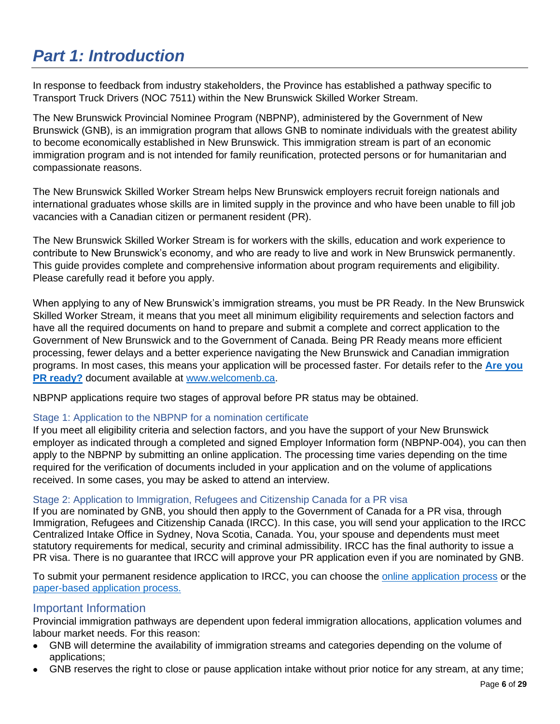# <span id="page-5-0"></span>*Part 1: Introduction*

In response to feedback from industry stakeholders, the Province has established a pathway specific to Transport Truck Drivers (NOC 7511) within the New Brunswick Skilled Worker Stream.

The New Brunswick Provincial Nominee Program (NBPNP), administered by the Government of New Brunswick (GNB), is an immigration program that allows GNB to nominate individuals with the greatest ability to become economically established in New Brunswick. This immigration stream is part of an economic immigration program and is not intended for family reunification, protected persons or for humanitarian and compassionate reasons.

The New Brunswick Skilled Worker Stream helps New Brunswick employers recruit foreign nationals and international graduates whose skills are in limited supply in the province and who have been unable to fill job vacancies with a Canadian citizen or permanent resident (PR).

The New Brunswick Skilled Worker Stream is for workers with the skills, education and work experience to contribute to New Brunswick's economy, and who are ready to live and work in New Brunswick permanently. This guide provides complete and comprehensive information about program requirements and eligibility. Please carefully read it before you apply.

When applying to any of New Brunswick's immigration streams, you must be PR Ready. In the New Brunswick Skilled Worker Stream, it means that you meet all minimum eligibility requirements and selection factors and have all the required documents on hand to prepare and submit a complete and correct application to the Government of New Brunswick and to the Government of Canada. Being PR Ready means more efficient processing, fewer delays and a better experience navigating the New Brunswick and Canadian immigration programs. In most cases, this means your application will be processed faster. For details refer to the **[Are you](https://www.bienvenuenb.ca/content/wel-bien/en/permanent_residence.html)  [PR ready?](https://www.bienvenuenb.ca/content/wel-bien/en/permanent_residence.html)** document available at [www.welcomenb.ca.](http://www.welcomenb.ca/)

NBPNP applications require two stages of approval before PR status may be obtained.

### Stage 1: Application to the NBPNP for a nomination certificate

If you meet all eligibility criteria and selection factors, and you have the support of your New Brunswick employer as indicated through a completed and signed Employer Information form (NBPNP-004), you can then apply to the NBPNP by submitting an online application. The processing time varies depending on the time required for the verification of documents included in your application and on the volume of applications received. In some cases, you may be asked to attend an interview.

#### Stage 2: Application to Immigration, Refugees and Citizenship Canada for a PR visa

If you are nominated by GNB, you should then apply to the Government of Canada for a PR visa, through Immigration, Refugees and Citizenship Canada (IRCC). In this case, you will send your application to the IRCC Centralized Intake Office in Sydney, Nova Scotia, Canada. You, your spouse and dependents must meet statutory requirements for medical, security and criminal admissibility. IRCC has the final authority to issue a PR visa. There is no guarantee that IRCC will approve your PR application even if you are nominated by GNB.

To submit your permanent residence application to IRCC, you can choose the [online application process](https://can01.safelinks.protection.outlook.com/?url=https%3A%2F%2Fwww.canada.ca%2Fen%2Fimmigration-refugees-citizenship%2Fservices%2Fimmigrate-canada%2Fhow-to-apply-online.html&data=04%7C01%7Ctammy.caseley%40onbcanada.ca%7Cfb171a091ed7493442fc08d9e02bcc83%7Ce08b7eefb5014a679ed007e38bfccee7%7C0%7C0%7C637787300981931045%7CUnknown%7CTWFpbGZsb3d8eyJWIjoiMC4wLjAwMDAiLCJQIjoiV2luMzIiLCJBTiI6Ik1haWwiLCJXVCI6Mn0%3D%7C3000&sdata=quFXq5RAKHoQIK5M8LtyXr6unIbMzJ%2FrTcKFZocJFHg%3D&reserved=0) or the [paper-based application process.](https://can01.safelinks.protection.outlook.com/?url=https%3A%2F%2Fwww.canada.ca%2Fen%2Fimmigration-refugees-citizenship%2Fservices%2Fimmigrate-canada%2Fprovincial-nominees%2Fapplication-process%2Fpaper.html&data=04%7C01%7Ctammy.caseley%40onbcanada.ca%7Cfb171a091ed7493442fc08d9e02bcc83%7Ce08b7eefb5014a679ed007e38bfccee7%7C0%7C0%7C637787300981931045%7CUnknown%7CTWFpbGZsb3d8eyJWIjoiMC4wLjAwMDAiLCJQIjoiV2luMzIiLCJBTiI6Ik1haWwiLCJXVCI6Mn0%3D%7C3000&sdata=TelIG79sWGJZXr%2FhMNDGmtTdnlpPha%2BNptYz%2F2%2FuoMg%3D&reserved=0)

### <span id="page-5-1"></span>Important Information

Provincial immigration pathways are dependent upon federal immigration allocations, application volumes and labour market needs. For this reason:

- GNB will determine the availability of immigration streams and categories depending on the volume of applications;
- GNB reserves the right to close or pause application intake without prior notice for any stream, at any time;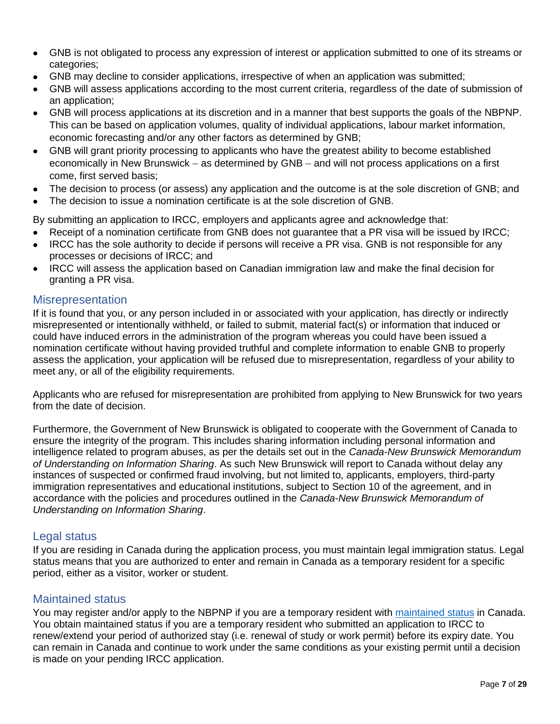- GNB is not obligated to process any expression of interest or application submitted to one of its streams or categories;
- GNB may decline to consider applications, irrespective of when an application was submitted;
- GNB will assess applications according to the most current criteria, regardless of the date of submission of an application;
- GNB will process applications at its discretion and in a manner that best supports the goals of the NBPNP. This can be based on application volumes, quality of individual applications, labour market information, economic forecasting and/or any other factors as determined by GNB;
- GNB will grant priority processing to applicants who have the greatest ability to become established economically in New Brunswick – as determined by GNB – and will not process applications on a first come, first served basis;
- The decision to process (or assess) any application and the outcome is at the sole discretion of GNB; and
- The decision to issue a nomination certificate is at the sole discretion of GNB.

By submitting an application to IRCC, employers and applicants agree and acknowledge that:

- Receipt of a nomination certificate from GNB does not guarantee that a PR visa will be issued by IRCC;
- IRCC has the sole authority to decide if persons will receive a PR visa. GNB is not responsible for any processes or decisions of IRCC; and
- IRCC will assess the application based on Canadian immigration law and make the final decision for granting a PR visa.

## <span id="page-6-0"></span>**Misrepresentation**

If it is found that you, or any person included in or associated with your application, has directly or indirectly misrepresented or intentionally withheld, or failed to submit, material fact(s) or information that induced or could have induced errors in the administration of the program whereas you could have been issued a nomination certificate without having provided truthful and complete information to enable GNB to properly assess the application, your application will be refused due to misrepresentation, regardless of your ability to meet any, or all of the eligibility requirements.

Applicants who are refused for misrepresentation are prohibited from applying to New Brunswick for two years from the date of decision.

Furthermore, the Government of New Brunswick is obligated to cooperate with the Government of Canada to ensure the integrity of the program. This includes sharing information including personal information and intelligence related to program abuses, as per the details set out in the *Canada-New Brunswick Memorandum of Understanding on Information Sharing*. As such New Brunswick will report to Canada without delay any instances of suspected or confirmed fraud involving, but not limited to, applicants, employers, third-party immigration representatives and educational institutions, subject to Section 10 of the agreement, and in accordance with the policies and procedures outlined in the *Canada-New Brunswick Memorandum of Understanding on Information Sharing*.

## <span id="page-6-1"></span>Legal status

If you are residing in Canada during the application process, you must maintain legal immigration status. Legal status means that you are authorized to enter and remain in Canada as a temporary resident for a specific period, either as a visitor, worker or student.

## <span id="page-6-2"></span>Maintained status

You may register and/or apply to the NBPNP if you are a temporary resident with [maintained](https://www.canada.ca/en/immigration-refugees-citizenship/corporate/publications-manuals/operational-bulletins-manuals/temporary-residents/visitors/implied-status-extending-stay.html) status in Canada. You obtain maintained status if you are a temporary resident who submitted an application to IRCC to renew/extend your period of authorized stay (i.e. renewal of study or work permit) before its expiry date. You can remain in Canada and continue to work under the same conditions as your existing permit until a decision is made on your pending IRCC application.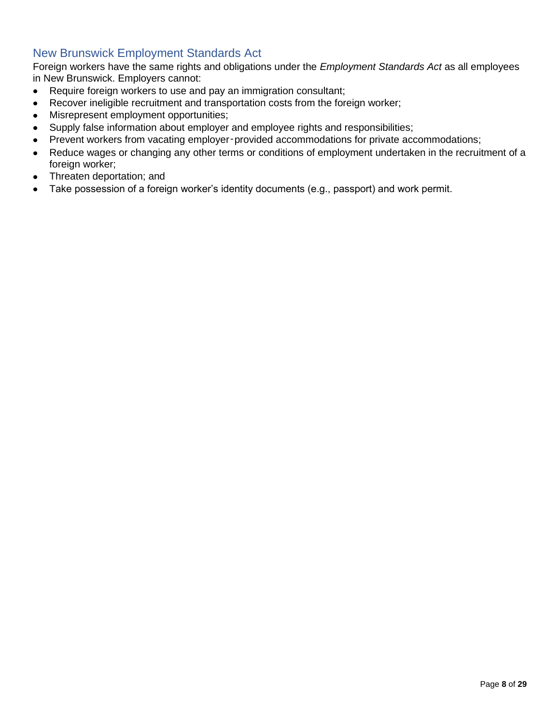## <span id="page-7-0"></span>New Brunswick Employment Standards Act

Foreign workers have the same rights and obligations under the *Employment Standards Act* as all employees in New Brunswick. Employers cannot:

- Require foreign workers to use and pay an immigration consultant;
- Recover ineligible recruitment and transportation costs from the foreign worker;
- Misrepresent employment opportunities;
- Supply false information about employer and employee rights and responsibilities;
- Prevent workers from vacating employer-provided accommodations for private accommodations;
- Reduce wages or changing any other terms or conditions of employment undertaken in the recruitment of a foreign worker;
- Threaten deportation; and
- Take possession of a foreign worker's identity documents (e.g., passport) and work permit.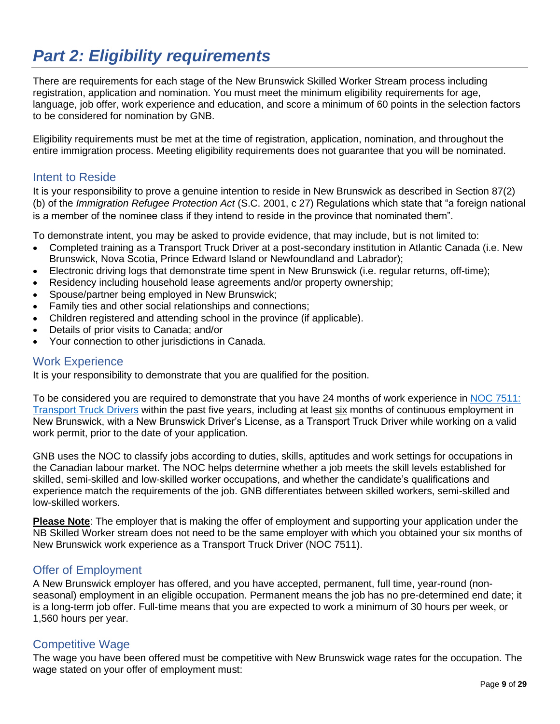# <span id="page-8-0"></span>*Part 2: Eligibility requirements*

There are requirements for each stage of the New Brunswick Skilled Worker Stream process including registration, application and nomination. You must meet the minimum eligibility requirements for age, language, job offer, work experience and education, and score a minimum of 60 points in the selection factors to be considered for nomination by GNB.

Eligibility requirements must be met at the time of registration, application, nomination, and throughout the entire immigration process. Meeting eligibility requirements does not guarantee that you will be nominated.

## <span id="page-8-1"></span>Intent to Reside

It is your responsibility to prove a genuine intention to reside in New Brunswick as described in Section 87(2) (b) of the *Immigration Refugee Protection Act* (S.C. 2001, c 27) Regulations which state that "a foreign national is a member of the nominee class if they intend to reside in the province that nominated them".

To demonstrate intent, you may be asked to provide evidence, that may include, but is not limited to:

- Completed training as a Transport Truck Driver at a post-secondary institution in Atlantic Canada (i.e. New Brunswick, Nova Scotia, Prince Edward Island or Newfoundland and Labrador);
- Electronic driving logs that demonstrate time spent in New Brunswick (i.e. regular returns, off-time);
- Residency including household lease agreements and/or property ownership;
- Spouse/partner being employed in New Brunswick;
- Family ties and other social relationships and connections;
- Children registered and attending school in the province (if applicable).
- Details of prior visits to Canada; and/or
- Your connection to other jurisdictions in Canada.

#### <span id="page-8-2"></span>Work Experience

It is your responsibility to demonstrate that you are qualified for the position.

To be considered you are required to demonstrate that you have 24 months of work experience in [NOC 7511:](https://noc.esdc.gc.ca/Structure/NocProfile?objectid=hseBfbToaTZBi8xptcWtQUDpmraCFoRRkSzYIs%2bUxfY%3d&GoCTemplateCulture=en-CA)  [Transport Truck Drivers](https://noc.esdc.gc.ca/Structure/NocProfile?objectid=hseBfbToaTZBi8xptcWtQUDpmraCFoRRkSzYIs%2bUxfY%3d&GoCTemplateCulture=en-CA) within the past five years, including at least six months of continuous employment in New Brunswick, with a New Brunswick Driver's License, as a Transport Truck Driver while working on a valid work permit, prior to the date of your application.

GNB uses the NOC to classify jobs according to duties, skills, aptitudes and work settings for occupations in the Canadian labour market. The NOC helps determine whether a job meets the skill levels established for skilled, semi-skilled and low-skilled worker occupations, and whether the candidate's qualifications and experience match the requirements of the job. GNB differentiates between skilled workers, semi-skilled and low-skilled workers.

**Please Note**: The employer that is making the offer of employment and supporting your application under the NB Skilled Worker stream does not need to be the same employer with which you obtained your six months of New Brunswick work experience as a Transport Truck Driver (NOC 7511).

### <span id="page-8-3"></span>Offer of Employment

A New Brunswick employer has offered, and you have accepted, permanent, full time, year-round (nonseasonal) employment in an eligible occupation. Permanent means the job has no pre-determined end date; it is a long-term job offer. Full-time means that you are expected to work a minimum of 30 hours per week, or 1,560 hours per year.

## <span id="page-8-4"></span>Competitive Wage

The wage you have been offered must be competitive with New Brunswick wage rates for the occupation. The wage stated on your offer of employment must: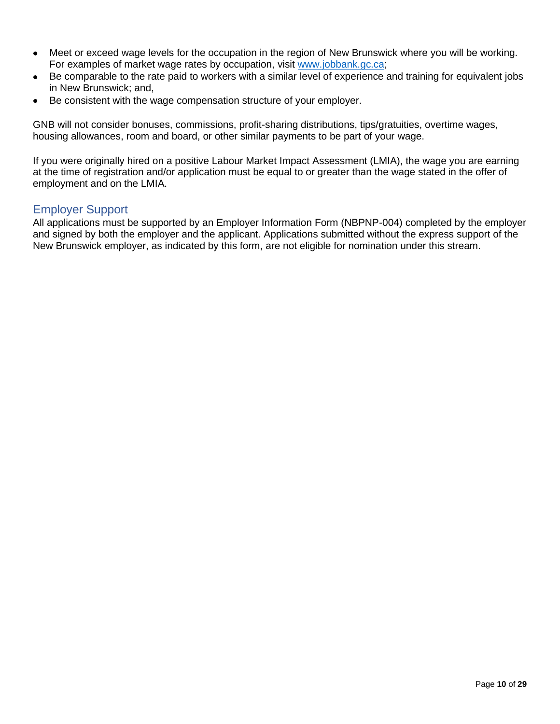- Meet or exceed wage levels for the occupation in the region of New Brunswick where you will be working. For examples of market wage rates by occupation, visit [www.jobbank.gc.ca;](http://www.jobbank.gc.ca/)
- Be comparable to the rate paid to workers with a similar level of experience and training for equivalent jobs in New Brunswick; and,
- Be consistent with the wage compensation structure of your employer.

GNB will not consider bonuses, commissions, profit-sharing distributions, tips/gratuities, overtime wages, housing allowances, room and board, or other similar payments to be part of your wage.

If you were originally hired on a positive Labour Market Impact Assessment (LMIA), the wage you are earning at the time of registration and/or application must be equal to or greater than the wage stated in the offer of employment and on the LMIA.

### <span id="page-9-0"></span>Employer Support

All applications must be supported by an Employer Information Form (NBPNP-004) completed by the employer and signed by both the employer and the applicant. Applications submitted without the express support of the New Brunswick employer, as indicated by this form, are not eligible for nomination under this stream.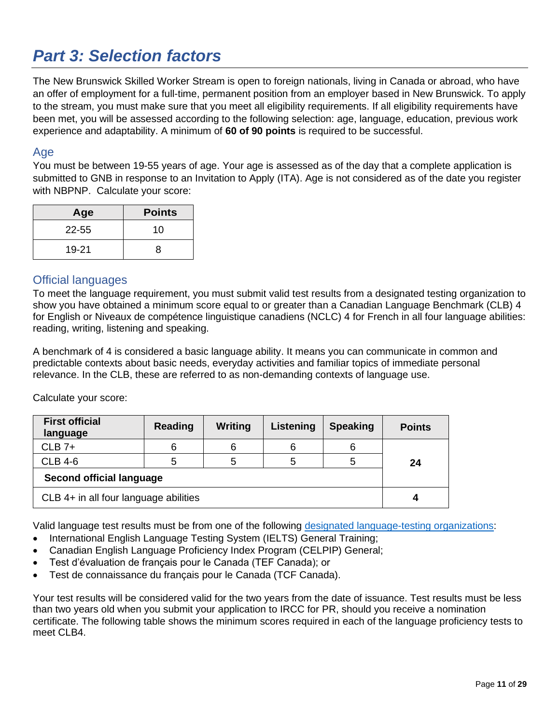# <span id="page-10-0"></span>*Part 3: Selection factors*

The New Brunswick Skilled Worker Stream is open to foreign nationals, living in Canada or abroad, who have an offer of employment for a full-time, permanent position from an employer based in New Brunswick. To apply to the stream, you must make sure that you meet all eligibility requirements. If all eligibility requirements have been met, you will be assessed according to the following selection: age, language, education, previous work experience and adaptability. A minimum of **60 of 90 points** is required to be successful.

### <span id="page-10-1"></span>Age

You must be between 19-55 years of age. Your age is assessed as of the day that a complete application is submitted to GNB in response to an Invitation to Apply (ITA). Age is not considered as of the date you register with NBPNP. Calculate your score:

| Age       | <b>Points</b> |
|-----------|---------------|
| $22 - 55$ | 10            |
| 19-21     | 8             |

## <span id="page-10-2"></span>Official languages

To meet the language requirement, you must submit valid test results from a designated testing organization to show you have obtained a minimum score equal to or greater than a Canadian Language Benchmark (CLB) 4 for English or Niveaux de compétence linguistique canadiens (NCLC) 4 for French in all four language abilities: reading, writing, listening and speaking.

A benchmark of 4 is considered a basic language ability. It means you can communicate in common and predictable contexts about basic needs, everyday activities and familiar topics of immediate personal relevance. In the CLB, these are referred to as non-demanding contexts of language use.

Calculate your score:

| <b>First official</b><br>language     | <b>Reading</b> | Writing | Listening | <b>Speaking</b> | <b>Points</b> |
|---------------------------------------|----------------|---------|-----------|-----------------|---------------|
| $CLB$ 7+                              | 6              | 6       | 6         |                 |               |
| <b>CLB 4-6</b>                        |                | 5       |           |                 | 24            |
| Second official language              |                |         |           |                 |               |
| CLB 4+ in all four language abilities |                |         |           |                 |               |

Valid language test results must be from one of the following [designated language-testing organizations:](https://www.canada.ca/en/immigration-refugees-citizenship/corporate/publications-manuals/operational-bulletins-manuals/standard-requirements/language-requirements/test-equivalency-charts.html.)

- International English Language Testing System (IELTS) General Training;
- Canadian English Language Proficiency Index Program (CELPIP) General;
- Test d'évaluation de français pour le Canada (TEF Canada); or
- Test de connaissance du français pour le Canada (TCF Canada).

Your test results will be considered valid for the two years from the date of issuance. Test results must be less than two years old when you submit your application to IRCC for PR, should you receive a nomination certificate. The following table shows the minimum scores required in each of the language proficiency tests to meet CLB4.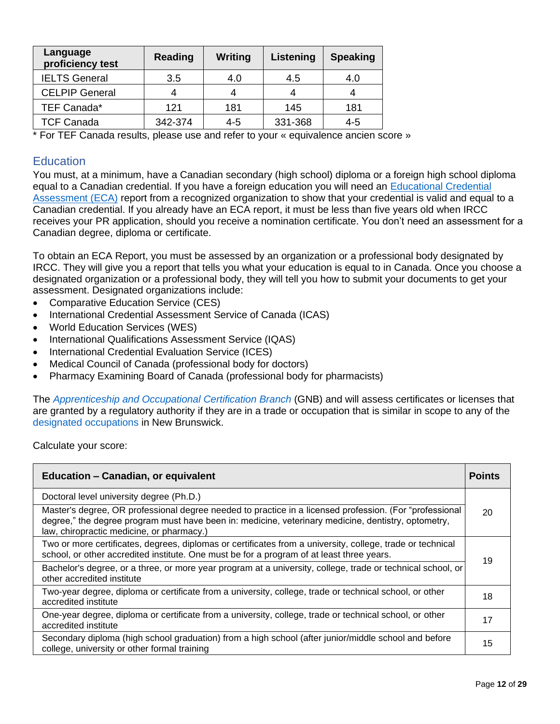| Language<br>proficiency test | <b>Reading</b> | Writing | Listening | <b>Speaking</b> |
|------------------------------|----------------|---------|-----------|-----------------|
| <b>IELTS General</b>         | 3.5            | 4.0     | 4.5       | 4.0             |
| <b>CELPIP General</b>        |                |         |           |                 |
| TEF Canada*                  | 121            | 181     | 145       | 181             |
| <b>TCF Canada</b>            | 342-374        | $4 - 5$ | 331-368   | 4-5             |

\* For TEF Canada results, please use and refer to your « equivalence ancien score »

### <span id="page-11-0"></span>**Education**

You must, at a minimum, have a Canadian secondary (high school) diploma or a foreign high school diploma equal to a Canadian credential. If you have a foreign education you will need an [Educational Credential](https://www.cic.gc.ca/english/helpcentre/answer.asp?qnum=681&top=29)  [Assessment \(ECA\)](https://www.cic.gc.ca/english/helpcentre/answer.asp?qnum=681&top=29) report from a recognized organization to show that your credential is valid and equal to a Canadian credential. If you already have an ECA report, it must be less than five years old when IRCC receives your PR application, should you receive a nomination certificate. You don't need an assessment for a Canadian degree, diploma or certificate.

To obtain an ECA Report, you must be assessed by an organization or a professional body designated by IRCC. They will give you a report that tells you what your education is equal to in Canada. Once you choose a designated organization or a professional body, they will tell you how to submit your documents to get your assessment. Designated organizations include:

- Comparative Education Service (CES)
- International Credential Assessment Service of Canada (ICAS)
- World Education Services (WES)
- International Qualifications Assessment Service (IQAS)
- International Credential Evaluation Service (ICES)
- Medical Council of Canada (professional body for doctors)
- Pharmacy Examining Board of Canada (professional body for pharmacists)

The *[Apprenticeship and Occupational Certification Branch](https://www2.gnb.ca/content/gnb/en/departments/post-secondary_education_training_and_labour/Skills/content/ApprenticeshipAndTrades.html)* (GNB) and will assess certificates or licenses that are granted by a regulatory authority if they are in a trade or occupation that is similar in scope to any of the [designated occupations](https://www2.gnb.ca/content/gnb/en/departments/post-secondary_education_training_and_labour/Skills/content/ApprenticeshipAndTrades/DesignatedOccupations.html) in New Brunswick.

Calculate your score:

| <b>Education - Canadian, or equivalent</b>                                                                                                                                                                                                                  | <b>Points</b> |
|-------------------------------------------------------------------------------------------------------------------------------------------------------------------------------------------------------------------------------------------------------------|---------------|
| Doctoral level university degree (Ph.D.)                                                                                                                                                                                                                    |               |
| Master's degree, OR professional degree needed to practice in a licensed profession. (For "professional<br>degree," the degree program must have been in: medicine, veterinary medicine, dentistry, optometry,<br>law, chiropractic medicine, or pharmacy.) | 20            |
| Two or more certificates, degrees, diplomas or certificates from a university, college, trade or technical<br>school, or other accredited institute. One must be for a program of at least three years.                                                     | 19            |
| Bachelor's degree, or a three, or more year program at a university, college, trade or technical school, or<br>other accredited institute                                                                                                                   |               |
| Two-year degree, diploma or certificate from a university, college, trade or technical school, or other<br>accredited institute                                                                                                                             | 18            |
| One-year degree, diploma or certificate from a university, college, trade or technical school, or other<br>accredited institute                                                                                                                             | 17            |
| Secondary diploma (high school graduation) from a high school (after junior/middle school and before<br>college, university or other formal training                                                                                                        | 15            |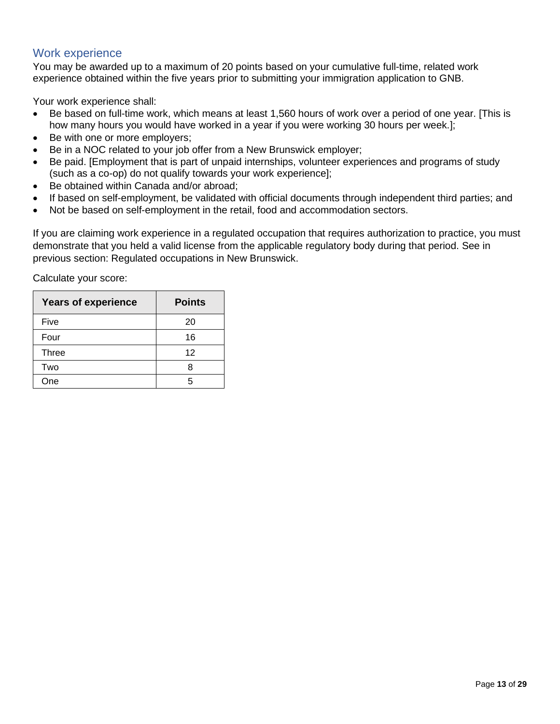## <span id="page-12-0"></span>Work experience

You may be awarded up to a maximum of 20 points based on your cumulative full-time, related work experience obtained within the five years prior to submitting your immigration application to GNB.

Your work experience shall:

- Be based on full-time work, which means at least 1,560 hours of work over a period of one year. [This is how many hours you would have worked in a year if you were working 30 hours per week.];
- Be with one or more employers;
- Be in a NOC related to your job offer from a New Brunswick employer;
- Be paid. [Employment that is part of unpaid internships, volunteer experiences and programs of study (such as a co-op) do not qualify towards your work experience];
- Be obtained within Canada and/or abroad;
- If based on self-employment, be validated with official documents through independent third parties; and
- Not be based on self-employment in the retail, food and accommodation sectors.

If you are claiming work experience in a regulated occupation that requires authorization to practice, you must demonstrate that you held a valid license from the applicable regulatory body during that period. See in previous section: Regulated occupations in New Brunswick.

Calculate your score:

| <b>Years of experience</b> | <b>Points</b> |
|----------------------------|---------------|
| Five                       | 20            |
| Four                       | 16            |
| <b>Three</b>               | 12            |
| Two                        |               |
| One                        |               |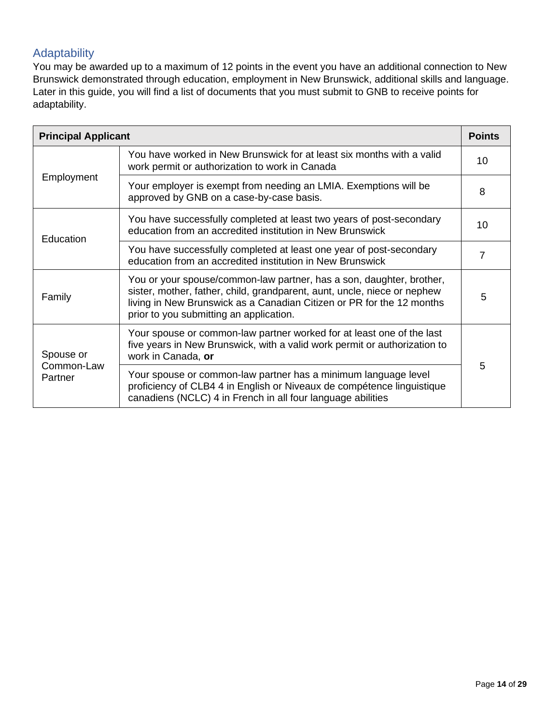# <span id="page-13-0"></span>Adaptability

You may be awarded up to a maximum of 12 points in the event you have an additional connection to New Brunswick demonstrated through education, employment in New Brunswick, additional skills and language. Later in this guide, you will find a list of documents that you must submit to GNB to receive points for adaptability.

| <b>Points</b><br><b>Principal Applicant</b> |                                                                                                                                                                                                                                                                      |    |
|---------------------------------------------|----------------------------------------------------------------------------------------------------------------------------------------------------------------------------------------------------------------------------------------------------------------------|----|
| Employment                                  | You have worked in New Brunswick for at least six months with a valid<br>work permit or authorization to work in Canada                                                                                                                                              |    |
|                                             | Your employer is exempt from needing an LMIA. Exemptions will be<br>approved by GNB on a case-by-case basis.                                                                                                                                                         | 8  |
| Education                                   | You have successfully completed at least two years of post-secondary<br>education from an accredited institution in New Brunswick                                                                                                                                    | 10 |
|                                             | You have successfully completed at least one year of post-secondary<br>education from an accredited institution in New Brunswick                                                                                                                                     | 7  |
| Family                                      | You or your spouse/common-law partner, has a son, daughter, brother,<br>sister, mother, father, child, grandparent, aunt, uncle, niece or nephew<br>living in New Brunswick as a Canadian Citizen or PR for the 12 months<br>prior to you submitting an application. | 5  |
| Spouse or<br>Common-Law<br>Partner          | Your spouse or common-law partner worked for at least one of the last<br>five years in New Brunswick, with a valid work permit or authorization to<br>work in Canada, or                                                                                             |    |
|                                             | Your spouse or common-law partner has a minimum language level<br>proficiency of CLB4 4 in English or Niveaux de compétence linguistique<br>canadiens (NCLC) 4 in French in all four language abilities                                                              | 5  |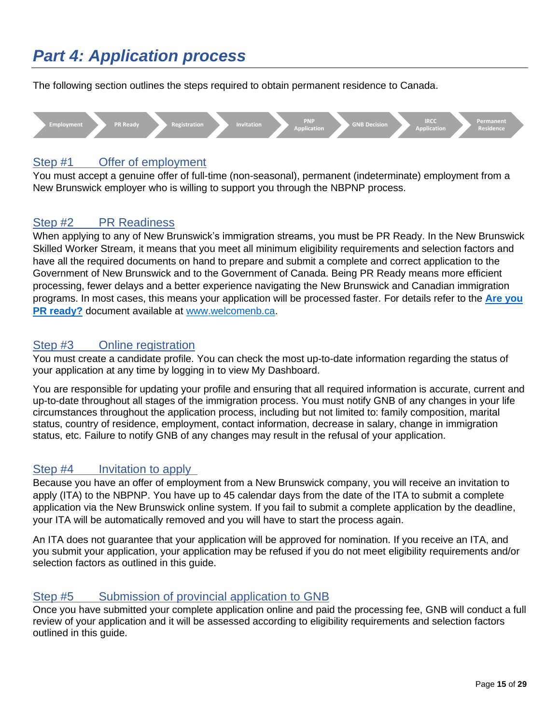# <span id="page-14-0"></span>*Part 4: Application process*

The following section outlines the steps required to obtain permanent residence to Canada.



# <span id="page-14-1"></span>Step #1 Offer of employment

You must accept a genuine offer of full-time (non-seasonal), permanent (indeterminate) employment from a New Brunswick employer who is willing to support you through the NBPNP process.

# <span id="page-14-2"></span>Step #2 PR Readiness

When applying to any of New Brunswick's immigration streams, you must be PR Ready. In the New Brunswick Skilled Worker Stream, it means that you meet all minimum eligibility requirements and selection factors and have all the required documents on hand to prepare and submit a complete and correct application to the Government of New Brunswick and to the Government of Canada. Being PR Ready means more efficient processing, fewer delays and a better experience navigating the New Brunswick and Canadian immigration programs. In most cases, this means your application will be processed faster. For details refer to the **[Are you](https://www.bienvenuenb.ca/content/wel-bien/en/permanent_residence.html)  [PR ready?](https://www.bienvenuenb.ca/content/wel-bien/en/permanent_residence.html)** document available at [www.welcomenb.ca.](http://www.welcomenb.ca/)

## <span id="page-14-3"></span>Step #3 Online registration

You must create a candidate profile. You can check the most up-to-date information regarding the status of your application at any time by logging in to view My Dashboard.

You are responsible for updating your profile and ensuring that all required information is accurate, current and up-to-date throughout all stages of the immigration process. You must notify GNB of any changes in your life circumstances throughout the application process, including but not limited to: family composition, marital status, country of residence, employment, contact information, decrease in salary, change in immigration status, etc. Failure to notify GNB of any changes may result in the refusal of your application.

### <span id="page-14-4"></span>Step #4 Invitation to apply

Because you have an offer of employment from a New Brunswick company, you will receive an invitation to apply (ITA) to the NBPNP. You have up to 45 calendar days from the date of the ITA to submit a complete application via the New Brunswick online system. If you fail to submit a complete application by the deadline, your ITA will be automatically removed and you will have to start the process again.

An ITA does not guarantee that your application will be approved for nomination. If you receive an ITA, and you submit your application, your application may be refused if you do not meet eligibility requirements and/or selection factors as outlined in this guide.

## <span id="page-14-5"></span>Step #5 Submission of provincial application to GNB

Once you have submitted your complete application online and paid the processing fee, GNB will conduct a full review of your application and it will be assessed according to eligibility requirements and selection factors outlined in this guide.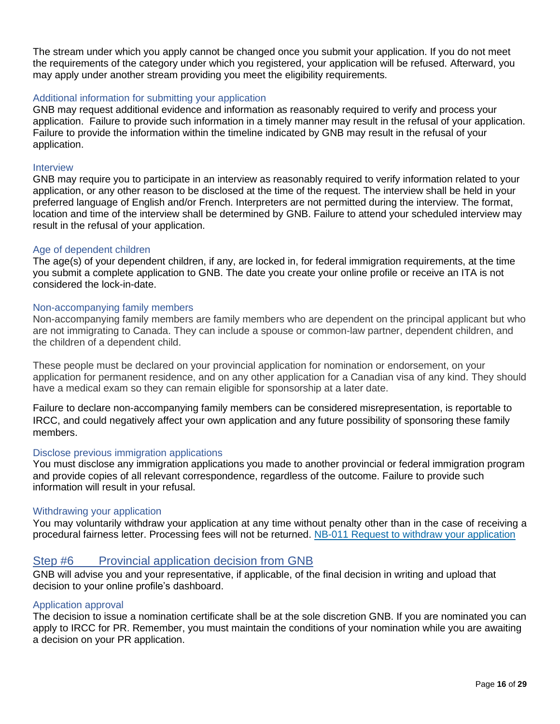The stream under which you apply cannot be changed once you submit your application. If you do not meet the requirements of the category under which you registered, your application will be refused. Afterward, you may apply under another stream providing you meet the eligibility requirements.

#### Additional information for submitting your application

GNB may request additional evidence and information as reasonably required to verify and process your application. Failure to provide such information in a timely manner may result in the refusal of your application. Failure to provide the information within the timeline indicated by GNB may result in the refusal of your application.

#### Interview

GNB may require you to participate in an interview as reasonably required to verify information related to your application, or any other reason to be disclosed at the time of the request. The interview shall be held in your preferred language of English and/or French. Interpreters are not permitted during the interview. The format, location and time of the interview shall be determined by GNB. Failure to attend your scheduled interview may result in the refusal of your application.

#### Age of dependent children

The age(s) of your dependent children, if any, are locked in, for federal immigration requirements, at the time you submit a complete application to GNB. The date you create your online profile or receive an ITA is not considered the lock-in-date.

#### Non-accompanying family members

Non-accompanying family members are family members who are dependent on the principal applicant but who are not immigrating to Canada. They can include a spouse or common-law partner, dependent children, and the children of a dependent child.

These people must be declared on your provincial application for nomination or endorsement, on your application for permanent residence, and on any other application for a Canadian visa of any kind. They should have a medical exam so they can remain eligible for sponsorship at a later date.

Failure to declare non-accompanying family members can be considered misrepresentation, is reportable to IRCC, and could negatively affect your own application and any future possibility of sponsoring these family members.

#### Disclose previous immigration applications

You must disclose any immigration applications you made to another provincial or federal immigration program and provide copies of all relevant correspondence, regardless of the outcome. Failure to provide such information will result in your refusal.

#### Withdrawing your application

You may voluntarily withdraw your application at any time without penalty other than in the case of receiving a procedural fairness letter. Processing fees will not be returned. [NB-011 Request to withdraw your application](https://www.welcomenb.ca/content/dam/wel-bien/pdf/NB-011-request-to-withdraw-immigration-application.pdf)

#### <span id="page-15-0"></span>Step #6 Provincial application decision from GNB

GNB will advise you and your representative, if applicable, of the final decision in writing and upload that decision to your online profile's dashboard.

#### Application approval

The decision to issue a nomination certificate shall be at the sole discretion GNB. If you are nominated you can apply to IRCC for PR. Remember, you must maintain the conditions of your nomination while you are awaiting a decision on your PR application.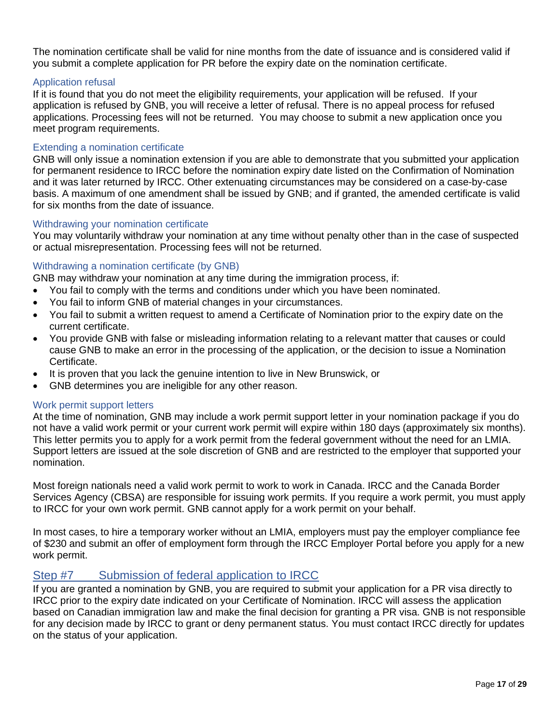The nomination certificate shall be valid for nine months from the date of issuance and is considered valid if you submit a complete application for PR before the expiry date on the nomination certificate.

#### Application refusal

If it is found that you do not meet the eligibility requirements, your application will be refused. If your application is refused by GNB, you will receive a letter of refusal. There is no appeal process for refused applications. Processing fees will not be returned. You may choose to submit a new application once you meet program requirements.

#### Extending a nomination certificate

GNB will only issue a nomination extension if you are able to demonstrate that you submitted your application for permanent residence to IRCC before the nomination expiry date listed on the Confirmation of Nomination and it was later returned by IRCC. Other extenuating circumstances may be considered on a case-by-case basis. A maximum of one amendment shall be issued by GNB; and if granted, the amended certificate is valid for six months from the date of issuance.

#### Withdrawing your nomination certificate

You may voluntarily withdraw your nomination at any time without penalty other than in the case of suspected or actual misrepresentation. Processing fees will not be returned.

#### Withdrawing a nomination certificate (by GNB)

GNB may withdraw your nomination at any time during the immigration process, if:

- You fail to comply with the terms and conditions under which you have been nominated.
- You fail to inform GNB of material changes in your circumstances.
- You fail to submit a written request to amend a Certificate of Nomination prior to the expiry date on the current certificate.
- You provide GNB with false or misleading information relating to a relevant matter that causes or could cause GNB to make an error in the processing of the application, or the decision to issue a Nomination Certificate.
- It is proven that you lack the genuine intention to live in New Brunswick, or
- GNB determines you are ineligible for any other reason.

#### Work permit support letters

At the time of nomination, GNB may include a work permit support letter in your nomination package if you do not have a valid work permit or your current work permit will expire within 180 days (approximately six months). This letter permits you to apply for a work permit from the federal government without the need for an LMIA. Support letters are issued at the sole discretion of GNB and are restricted to the employer that supported your nomination.

Most foreign nationals need a valid work permit to work to work in Canada. IRCC and the Canada Border Services Agency (CBSA) are responsible for issuing work permits. If you require a work permit, you must apply to IRCC for your own work permit. GNB cannot apply for a work permit on your behalf.

In most cases, to hire a temporary worker without an LMIA, employers must pay the employer compliance fee of \$230 and submit an offer of employment form through the IRCC Employer Portal before you apply for a new work permit.

### <span id="page-16-0"></span>Step #7 Submission of federal application to IRCC

If you are granted a nomination by GNB, you are required to submit your application for a PR visa directly to IRCC prior to the expiry date indicated on your Certificate of Nomination. IRCC will assess the application based on Canadian immigration law and make the final decision for granting a PR visa. GNB is not responsible for any decision made by IRCC to grant or deny permanent status. You must contact IRCC directly for updates on the status of your application.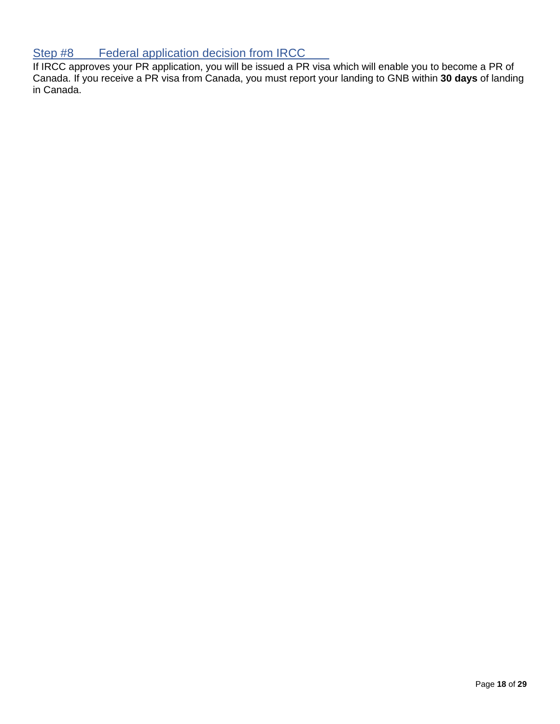## <span id="page-17-0"></span>Step #8 Federal application decision from IRCC

If IRCC approves your PR application, you will be issued a PR visa which will enable you to become a PR of Canada. If you receive a PR visa from Canada, you must report your landing to GNB within **30 days** of landing in Canada.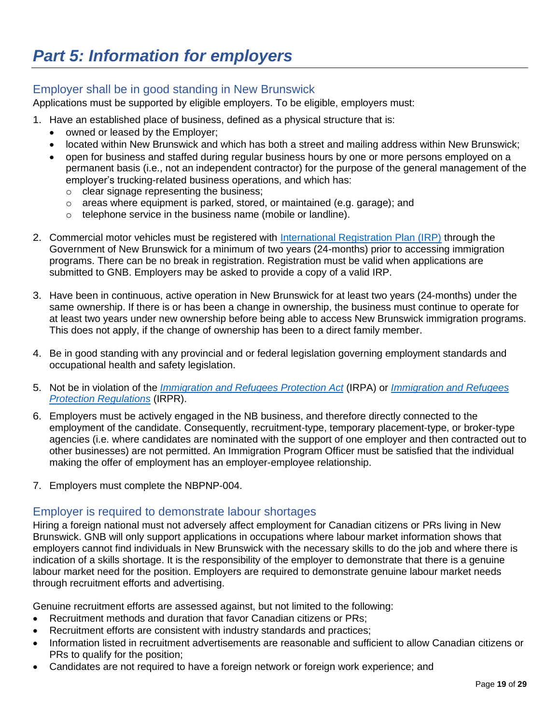## <span id="page-18-1"></span><span id="page-18-0"></span>Employer shall be in good standing in New Brunswick

Applications must be supported by eligible employers. To be eligible, employers must:

- 1. Have an established place of business, defined as a physical structure that is:
	- owned or leased by the Employer;
	- located within New Brunswick and which has both a street and mailing address within New Brunswick;
	- open for business and staffed during regular business hours by one or more persons employed on a permanent basis (i.e., not an independent contractor) for the purpose of the general management of the employer's trucking-related business operations, and which has:
		- o clear signage representing the business;
		- o areas where equipment is parked, stored, or maintained (e.g. garage); and
		- o telephone service in the business name (mobile or landline).
- 2. Commercial motor vehicles must be registered with [International Registration Plan \(IRP\)](https://www2.snb.ca/content/snb/en/sites/events/trucking.html) through the Government of New Brunswick for a minimum of two years (24-months) prior to accessing immigration programs. There can be no break in registration. Registration must be valid when applications are submitted to GNB. Employers may be asked to provide a copy of a valid IRP.
- 3. Have been in continuous, active operation in New Brunswick for at least two years (24-months) under the same ownership. If there is or has been a change in ownership, the business must continue to operate for at least two years under new ownership before being able to access New Brunswick immigration programs. This does not apply, if the change of ownership has been to a direct family member.
- 4. Be in good standing with any provincial and or federal legislation governing employment standards and occupational health and safety legislation.
- 5. Not be in violation of the *[Immigration and Refugees Protection Act](https://laws-lois.justice.gc.ca/eng/acts/I-2.5/FullText.html)* (IRPA) or *[Immigration and](https://laws-lois.justice.gc.ca/eng/regulations/SOR-2002-227/index.html) Refugees [Protection Regulations](https://laws-lois.justice.gc.ca/eng/regulations/SOR-2002-227/index.html)* (IRPR).
- 6. Employers must be actively engaged in the NB business, and therefore directly connected to the employment of the candidate. Consequently, recruitment-type, temporary placement-type, or broker-type agencies (i.e. where candidates are nominated with the support of one employer and then contracted out to other businesses) are not permitted. An Immigration Program Officer must be satisfied that the individual making the offer of employment has an employer-employee relationship.
- 7. Employers must complete the NBPNP-004.

## <span id="page-18-2"></span>Employer is required to demonstrate labour shortages

Hiring a foreign national must not adversely affect employment for Canadian citizens or PRs living in New Brunswick. GNB will only support applications in occupations where labour market information shows that employers cannot find individuals in New Brunswick with the necessary skills to do the job and where there is indication of a skills shortage. It is the responsibility of the employer to demonstrate that there is a genuine labour market need for the position. Employers are required to demonstrate genuine labour market needs through recruitment efforts and advertising.

Genuine recruitment efforts are assessed against, but not limited to the following:

- Recruitment methods and duration that favor Canadian citizens or PRs;
- Recruitment efforts are consistent with industry standards and practices;
- Information listed in recruitment advertisements are reasonable and sufficient to allow Canadian citizens or PRs to qualify for the position;
- Candidates are not required to have a foreign network or foreign work experience; and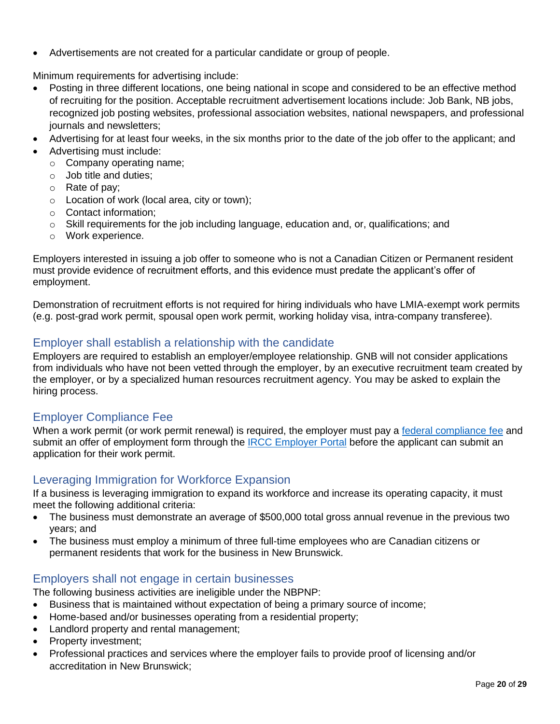• Advertisements are not created for a particular candidate or group of people.

Minimum requirements for advertising include:

- Posting in three different locations, one being national in scope and considered to be an effective method of recruiting for the position. Acceptable recruitment advertisement locations include: Job Bank, NB jobs, recognized job posting websites, professional association websites, national newspapers, and professional journals and newsletters;
- Advertising for at least four weeks, in the six months prior to the date of the job offer to the applicant; and
- Advertising must include:
	- o Company operating name;
	- o Job title and duties;
	- o Rate of pay;
	- o Location of work (local area, city or town);
	- o Contact information;
	- $\circ$  Skill requirements for the job including language, education and, or, qualifications; and
	- o Work experience.

Employers interested in issuing a job offer to someone who is not a Canadian Citizen or Permanent resident must provide evidence of recruitment efforts, and this evidence must predate the applicant's offer of employment.

Demonstration of recruitment efforts is not required for hiring individuals who have LMIA-exempt work permits (e.g. post-grad work permit, spousal open work permit, working holiday visa, intra-company transferee).

## <span id="page-19-0"></span>Employer shall establish a relationship with the candidate

Employers are required to establish an employer/employee relationship. GNB will not consider applications from individuals who have not been vetted through the employer, by an executive recruitment team created by the employer, or by a specialized human resources recruitment agency. You may be asked to explain the hiring process.

# <span id="page-19-1"></span>Employer Compliance Fee

When a work permit (or work permit renewal) is required, the employer must pay a [federal compliance fee](https://ircc.canada.ca/english/helpcentre/results-by-topic.asp?st=17.4.2) and submit an offer of employment form through the **IRCC Employer Portal before the applicant can submit an** application for their work permit.

## <span id="page-19-2"></span>Leveraging Immigration for Workforce Expansion

If a business is leveraging immigration to expand its workforce and increase its operating capacity, it must meet the following additional criteria:

- The business must demonstrate an average of \$500,000 total gross annual revenue in the previous two years; and
- The business must employ a minimum of three full-time employees who are Canadian citizens or permanent residents that work for the business in New Brunswick.

## <span id="page-19-3"></span>Employers shall not engage in certain businesses

The following business activities are ineligible under the NBPNP:

- Business that is maintained without expectation of being a primary source of income;
- Home-based and/or businesses operating from a residential property;
- Landlord property and rental management;
- Property investment;
- Professional practices and services where the employer fails to provide proof of licensing and/or accreditation in New Brunswick;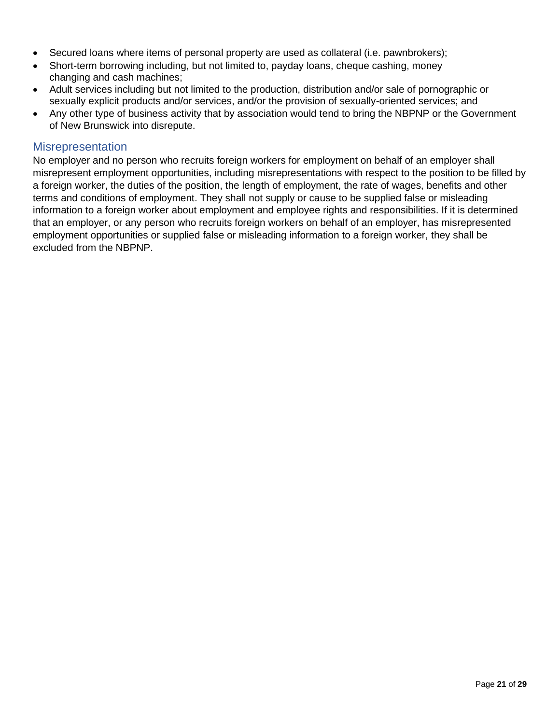- Secured loans where items of personal property are used as collateral (i.e. pawnbrokers);
- Short-term borrowing including, but not limited to, payday loans, cheque cashing, money changing and cash machines;
- Adult services including but not limited to the production, distribution and/or sale of pornographic or sexually explicit products and/or services, and/or the provision of sexually-oriented services; and
- Any other type of business activity that by association would tend to bring the NBPNP or the Government of New Brunswick into disrepute.

### <span id="page-20-0"></span>**Misrepresentation**

No employer and no person who recruits foreign workers for employment on behalf of an employer shall misrepresent employment opportunities, including misrepresentations with respect to the position to be filled by a foreign worker, the duties of the position, the length of employment, the rate of wages, benefits and other terms and conditions of employment. They shall not supply or cause to be supplied false or misleading information to a foreign worker about employment and employee rights and responsibilities. If it is determined that an employer, or any person who recruits foreign workers on behalf of an employer, has misrepresented employment opportunities or supplied false or misleading information to a foreign worker, they shall be excluded from the NBPNP.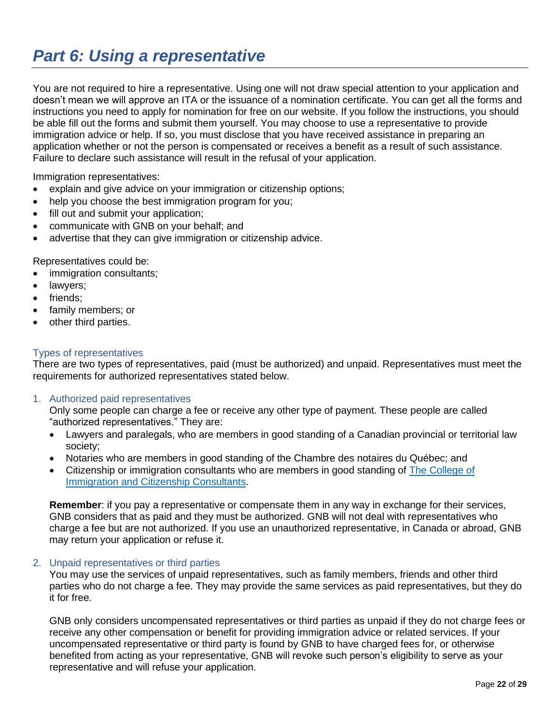# <span id="page-21-0"></span>*Part 6: Using a representative*

You are not required to hire a representative. Using one will not draw special attention to your application and doesn't mean we will approve an ITA or the issuance of a nomination certificate. You can get all the forms and instructions you need to apply for nomination for free on our website. If you follow the instructions, you should be able fill out the forms and submit them yourself. You may choose to use a representative to provide immigration advice or help. If so, you must disclose that you have received assistance in preparing an application whether or not the person is compensated or receives a benefit as a result of such assistance. Failure to declare such assistance will result in the refusal of your application.

Immigration representatives:

- explain and give advice on your immigration or citizenship options;
- help you choose the best immigration program for you;
- fill out and submit your application;
- communicate with GNB on your behalf; and
- advertise that they can give immigration or citizenship advice.

Representatives could be:

- immigration consultants;
- lawyers;
- friends;
- family members; or
- other third parties.

#### Types of representatives

There are two types of representatives, paid (must be authorized) and unpaid. Representatives must meet the requirements for authorized representatives stated below.

1. Authorized paid representatives

Only some people can charge a fee or receive any other type of payment. These people are called "authorized representatives." They are:

- Lawyers and paralegals, who are members in good standing of a Canadian provincial or territorial law society;
- Notaries who are members in good standing of the Chambre des notaires du Québec; and
- Citizenship or immigration consultants who are members in good standing of [The College of](https://www.college-ic.ca/?)  [Immigration and Citizenship Consultants.](https://www.college-ic.ca/?)

**Remember**: if you pay a representative or compensate them in any way in exchange for their services, GNB considers that as paid and they must be authorized. GNB will not deal with representatives who charge a fee but are not authorized. If you use an unauthorized representative, in Canada or abroad, GNB may return your application or refuse it.

#### 2. Unpaid representatives or third parties

You may use the services of unpaid representatives, such as family members, friends and other third parties who do not charge a fee. They may provide the same services as paid representatives, but they do it for free.

GNB only considers uncompensated representatives or third parties as unpaid if they do not charge fees or receive any other compensation or benefit for providing immigration advice or related services. If your uncompensated representative or third party is found by GNB to have charged fees for, or otherwise benefited from acting as your representative, GNB will revoke such person's eligibility to serve as your representative and will refuse your application.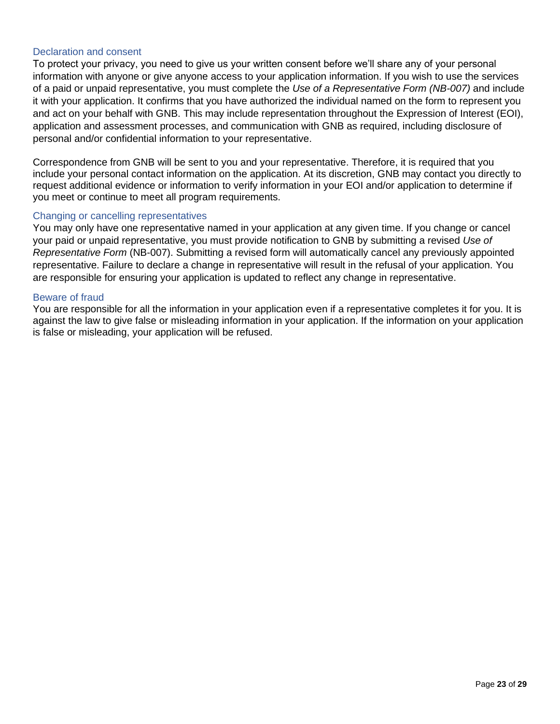#### Declaration and consent

To protect your privacy, you need to give us your written consent before we'll share any of your personal information with anyone or give anyone access to your application information. If you wish to use the services of a paid or unpaid representative, you must complete the *Use of a Representative Form (NB-007)* and include it with your application. It confirms that you have authorized the individual named on the form to represent you and act on your behalf with GNB. This may include representation throughout the Expression of Interest (EOI), application and assessment processes, and communication with GNB as required, including disclosure of personal and/or confidential information to your representative.

Correspondence from GNB will be sent to you and your representative. Therefore, it is required that you include your personal contact information on the application. At its discretion, GNB may contact you directly to request additional evidence or information to verify information in your EOI and/or application to determine if you meet or continue to meet all program requirements.

#### Changing or cancelling representatives

You may only have one representative named in your application at any given time. If you change or cancel your paid or unpaid representative, you must provide notification to GNB by submitting a revised *Use of Representative Form* (NB-007). Submitting a revised form will automatically cancel any previously appointed representative. Failure to declare a change in representative will result in the refusal of your application. You are responsible for ensuring your application is updated to reflect any change in representative.

#### Beware of fraud

You are responsible for all the information in your application even if a representative completes it for you. It is against the law to give false or misleading information in your application. If the information on your application is false or misleading, your application will be refused.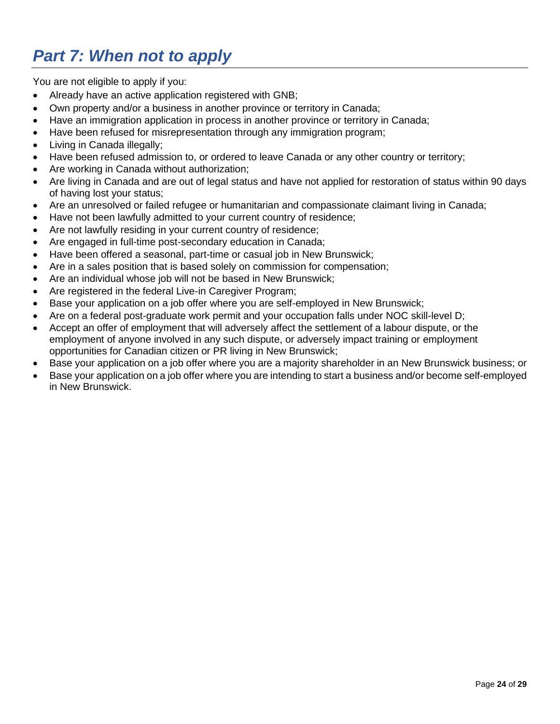# <span id="page-23-0"></span>*Part 7: When not to apply*

You are not eligible to apply if you:

- Already have an active application registered with GNB;
- Own property and/or a business in another province or territory in Canada;
- Have an immigration application in process in another province or territory in Canada;
- Have been refused for misrepresentation through any immigration program;
- Living in Canada illegally;
- Have been refused admission to, or ordered to leave Canada or any other country or territory;
- Are working in Canada without authorization;
- Are living in Canada and are out of legal status and have not applied for restoration of status within 90 days of having lost your status;
- Are an unresolved or failed refugee or humanitarian and compassionate claimant living in Canada;
- Have not been lawfully admitted to your current country of residence;
- Are not lawfully residing in your current country of residence;
- Are engaged in full-time post-secondary education in Canada;
- Have been offered a seasonal, part-time or casual job in New Brunswick;
- Are in a sales position that is based solely on commission for compensation;
- Are an individual whose job will not be based in New Brunswick;
- Are registered in the federal Live-in Caregiver Program;
- Base your application on a job offer where you are self-employed in New Brunswick;
- Are on a federal post-graduate work permit and your occupation falls under NOC skill-level D;
- Accept an offer of employment that will adversely affect the settlement of a labour dispute, or the employment of anyone involved in any such dispute, or adversely impact training or employment opportunities for Canadian citizen or PR living in New Brunswick;
- Base your application on a job offer where you are a majority shareholder in an New Brunswick business; or
- Base your application on a job offer where you are intending to start a business and/or become self-employed in New Brunswick.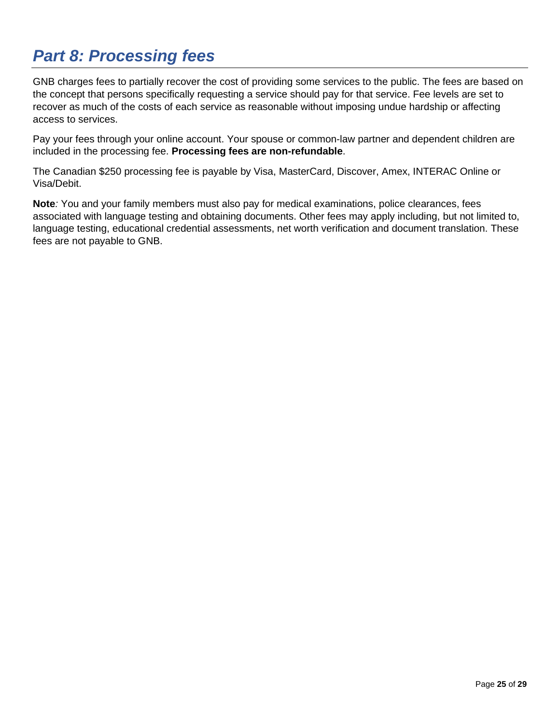# <span id="page-24-0"></span>*Part 8: Processing fees*

GNB charges fees to partially recover the cost of providing some services to the public. The fees are based on the concept that persons specifically requesting a service should pay for that service. Fee levels are set to recover as much of the costs of each service as reasonable without imposing undue hardship or affecting access to services.

Pay your fees through your online account. Your spouse or common-law partner and dependent children are included in the processing fee. **Processing fees are non-refundable**.

The Canadian \$250 processing fee is payable by Visa, MasterCard, Discover, Amex, INTERAC Online or Visa/Debit.

**Note***:* You and your family members must also pay for medical examinations, police clearances, fees associated with language testing and obtaining documents. Other fees may apply including, but not limited to, language testing, educational credential assessments, net worth verification and document translation. These fees are not payable to GNB.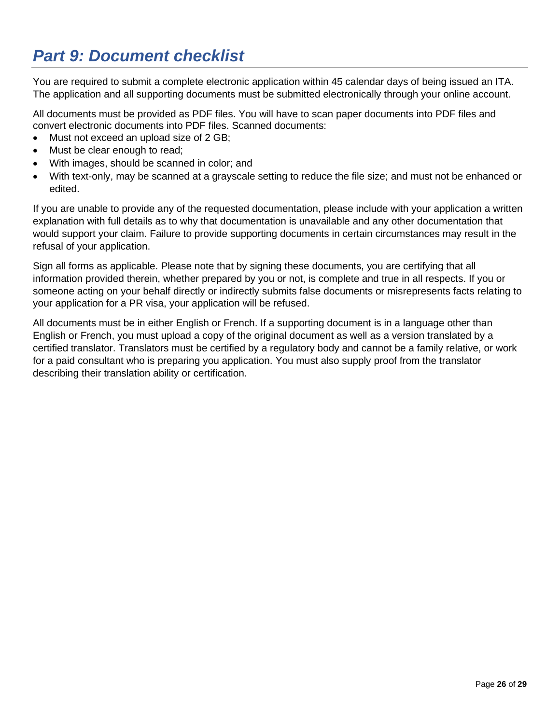# <span id="page-25-0"></span>*Part 9: Document checklist*

You are required to submit a complete electronic application within 45 calendar days of being issued an ITA. The application and all supporting documents must be submitted electronically through your online account.

All documents must be provided as PDF files. You will have to scan paper documents into PDF files and convert electronic documents into PDF files. Scanned documents:

- Must not exceed an upload size of 2 GB;
- Must be clear enough to read;
- With images, should be scanned in color; and
- With text-only, may be scanned at a grayscale setting to reduce the file size; and must not be enhanced or edited.

If you are unable to provide any of the requested documentation, please include with your application a written explanation with full details as to why that documentation is unavailable and any other documentation that would support your claim. Failure to provide supporting documents in certain circumstances may result in the refusal of your application.

Sign all forms as applicable. Please note that by signing these documents, you are certifying that all information provided therein, whether prepared by you or not, is complete and true in all respects. If you or someone acting on your behalf directly or indirectly submits false documents or misrepresents facts relating to your application for a PR visa, your application will be refused.

All documents must be in either English or French. If a supporting document is in a language other than English or French, you must upload a copy of the original document as well as a version translated by a certified translator. Translators must be certified by a regulatory body and cannot be a family relative, or work for a paid consultant who is preparing you application. You must also supply proof from the translator describing their translation ability or certification.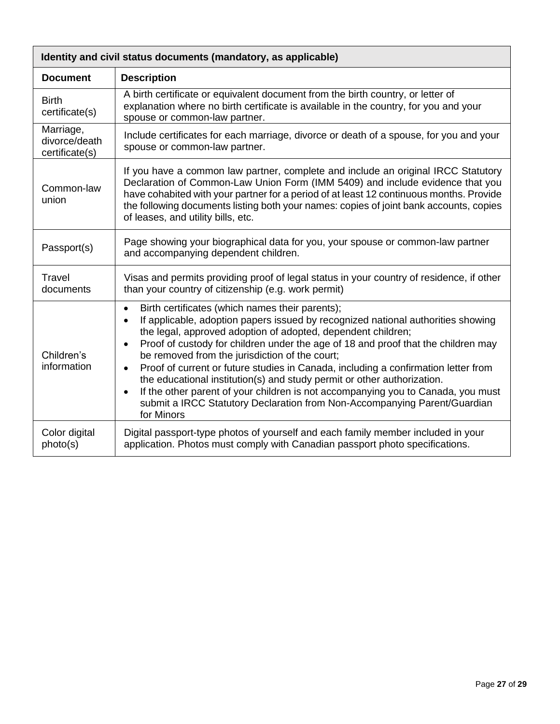| Identity and civil status documents (mandatory, as applicable) |                                                                                                                                                                                                                                                                                                                                                                                                                                                                                                                                                                                                                                                                                                                                                             |  |
|----------------------------------------------------------------|-------------------------------------------------------------------------------------------------------------------------------------------------------------------------------------------------------------------------------------------------------------------------------------------------------------------------------------------------------------------------------------------------------------------------------------------------------------------------------------------------------------------------------------------------------------------------------------------------------------------------------------------------------------------------------------------------------------------------------------------------------------|--|
| <b>Document</b>                                                | <b>Description</b>                                                                                                                                                                                                                                                                                                                                                                                                                                                                                                                                                                                                                                                                                                                                          |  |
| <b>Birth</b><br>certificate(s)                                 | A birth certificate or equivalent document from the birth country, or letter of<br>explanation where no birth certificate is available in the country, for you and your<br>spouse or common-law partner.                                                                                                                                                                                                                                                                                                                                                                                                                                                                                                                                                    |  |
| Marriage,<br>divorce/death<br>certificate(s)                   | Include certificates for each marriage, divorce or death of a spouse, for you and your<br>spouse or common-law partner.                                                                                                                                                                                                                                                                                                                                                                                                                                                                                                                                                                                                                                     |  |
| Common-law<br>union                                            | If you have a common law partner, complete and include an original IRCC Statutory<br>Declaration of Common-Law Union Form (IMM 5409) and include evidence that you<br>have cohabited with your partner for a period of at least 12 continuous months. Provide<br>the following documents listing both your names: copies of joint bank accounts, copies<br>of leases, and utility bills, etc.                                                                                                                                                                                                                                                                                                                                                               |  |
| Passport(s)                                                    | Page showing your biographical data for you, your spouse or common-law partner<br>and accompanying dependent children.                                                                                                                                                                                                                                                                                                                                                                                                                                                                                                                                                                                                                                      |  |
| Travel<br>documents                                            | Visas and permits providing proof of legal status in your country of residence, if other<br>than your country of citizenship (e.g. work permit)                                                                                                                                                                                                                                                                                                                                                                                                                                                                                                                                                                                                             |  |
| Children's<br>information                                      | Birth certificates (which names their parents);<br>$\bullet$<br>If applicable, adoption papers issued by recognized national authorities showing<br>$\bullet$<br>the legal, approved adoption of adopted, dependent children;<br>Proof of custody for children under the age of 18 and proof that the children may<br>$\bullet$<br>be removed from the jurisdiction of the court;<br>Proof of current or future studies in Canada, including a confirmation letter from<br>$\bullet$<br>the educational institution(s) and study permit or other authorization.<br>If the other parent of your children is not accompanying you to Canada, you must<br>$\bullet$<br>submit a IRCC Statutory Declaration from Non-Accompanying Parent/Guardian<br>for Minors |  |
| Color digital<br>photo(s)                                      | Digital passport-type photos of yourself and each family member included in your<br>application. Photos must comply with Canadian passport photo specifications.                                                                                                                                                                                                                                                                                                                                                                                                                                                                                                                                                                                            |  |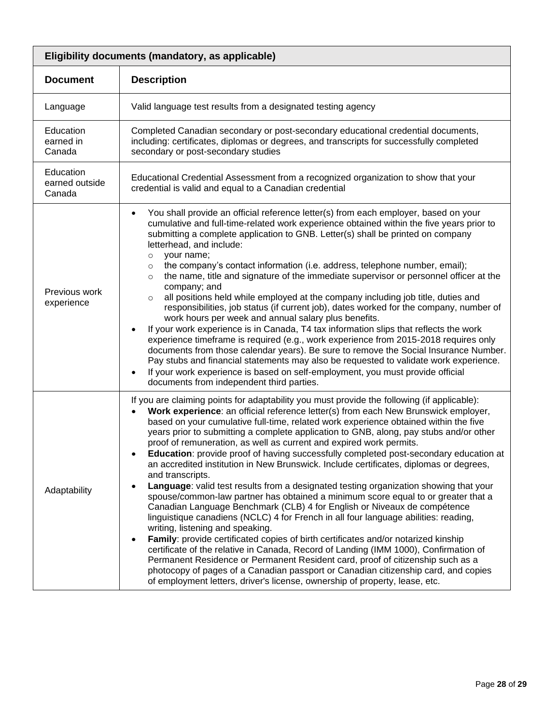| Eligibility documents (mandatory, as applicable) |                                                                                                                                                                                                                                                                                                                                                                                                                                                                                                                                                                                                                                                                                                                                                                                                                                                                                                                                                                                                                                                                                                                                                                                                                                                                                                                                                                                                                                                                             |  |
|--------------------------------------------------|-----------------------------------------------------------------------------------------------------------------------------------------------------------------------------------------------------------------------------------------------------------------------------------------------------------------------------------------------------------------------------------------------------------------------------------------------------------------------------------------------------------------------------------------------------------------------------------------------------------------------------------------------------------------------------------------------------------------------------------------------------------------------------------------------------------------------------------------------------------------------------------------------------------------------------------------------------------------------------------------------------------------------------------------------------------------------------------------------------------------------------------------------------------------------------------------------------------------------------------------------------------------------------------------------------------------------------------------------------------------------------------------------------------------------------------------------------------------------------|--|
| <b>Document</b>                                  | <b>Description</b>                                                                                                                                                                                                                                                                                                                                                                                                                                                                                                                                                                                                                                                                                                                                                                                                                                                                                                                                                                                                                                                                                                                                                                                                                                                                                                                                                                                                                                                          |  |
| Language                                         | Valid language test results from a designated testing agency                                                                                                                                                                                                                                                                                                                                                                                                                                                                                                                                                                                                                                                                                                                                                                                                                                                                                                                                                                                                                                                                                                                                                                                                                                                                                                                                                                                                                |  |
| Education<br>earned in<br>Canada                 | Completed Canadian secondary or post-secondary educational credential documents,<br>including: certificates, diplomas or degrees, and transcripts for successfully completed<br>secondary or post-secondary studies                                                                                                                                                                                                                                                                                                                                                                                                                                                                                                                                                                                                                                                                                                                                                                                                                                                                                                                                                                                                                                                                                                                                                                                                                                                         |  |
| Education<br>earned outside<br>Canada            | Educational Credential Assessment from a recognized organization to show that your<br>credential is valid and equal to a Canadian credential                                                                                                                                                                                                                                                                                                                                                                                                                                                                                                                                                                                                                                                                                                                                                                                                                                                                                                                                                                                                                                                                                                                                                                                                                                                                                                                                |  |
| Previous work<br>experience                      | You shall provide an official reference letter(s) from each employer, based on your<br>cumulative and full-time-related work experience obtained within the five years prior to<br>submitting a complete application to GNB. Letter(s) shall be printed on company<br>letterhead, and include:<br>your name;<br>$\circ$<br>the company's contact information (i.e. address, telephone number, email);<br>$\circ$<br>the name, title and signature of the immediate supervisor or personnel officer at the<br>$\circ$<br>company; and<br>all positions held while employed at the company including job title, duties and<br>$\circ$<br>responsibilities, job status (if current job), dates worked for the company, number of<br>work hours per week and annual salary plus benefits.<br>If your work experience is in Canada, T4 tax information slips that reflects the work<br>experience timeframe is required (e.g., work experience from 2015-2018 requires only<br>documents from those calendar years). Be sure to remove the Social Insurance Number.<br>Pay stubs and financial statements may also be requested to validate work experience.<br>If your work experience is based on self-employment, you must provide official<br>documents from independent third parties.                                                                                                                                                                                      |  |
| Adaptability                                     | If you are claiming points for adaptability you must provide the following (if applicable):<br>Work experience: an official reference letter(s) from each New Brunswick employer,<br>based on your cumulative full-time, related work experience obtained within the five<br>years prior to submitting a complete application to GNB, along, pay stubs and/or other<br>proof of remuneration, as well as current and expired work permits.<br>Education: provide proof of having successfully completed post-secondary education at<br>an accredited institution in New Brunswick. Include certificates, diplomas or degrees,<br>and transcripts.<br>Language: valid test results from a designated testing organization showing that your<br>spouse/common-law partner has obtained a minimum score equal to or greater that a<br>Canadian Language Benchmark (CLB) 4 for English or Niveaux de compétence<br>linguistique canadiens (NCLC) 4 for French in all four language abilities: reading,<br>writing, listening and speaking.<br>Family: provide certificated copies of birth certificates and/or notarized kinship<br>certificate of the relative in Canada, Record of Landing (IMM 1000), Confirmation of<br>Permanent Residence or Permanent Resident card, proof of citizenship such as a<br>photocopy of pages of a Canadian passport or Canadian citizenship card, and copies<br>of employment letters, driver's license, ownership of property, lease, etc. |  |